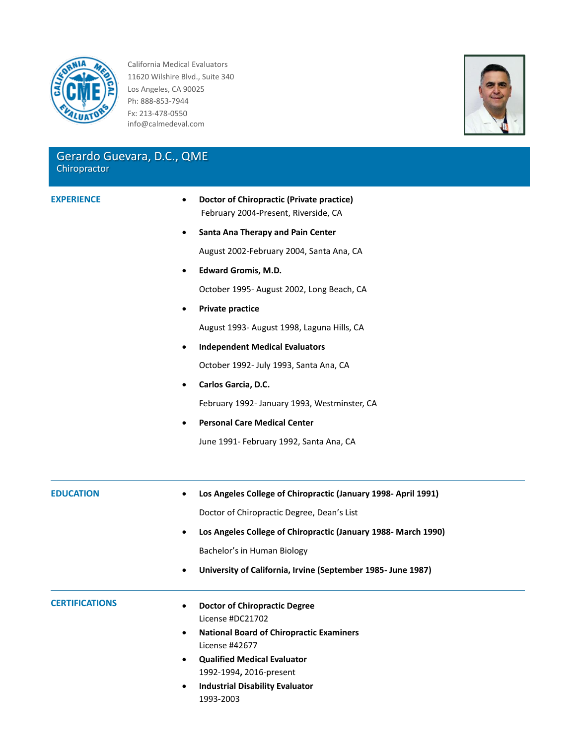

California Medical Evaluators 11620 Wilshire Blvd., Suite 340 Los Angeles, CA 90025 Ph: 888-853-7944 Fx: 213-478-0550 info@calmedeval.com

## Gerardo Guevara, D.C., QME **Chiropractor**

- **EXPERIENCE Doctor of Chiropractic (Private practice)** February 2004-Present, Riverside, CA
	- **•** Santa Ana Therapy and Pain Center August 2002-February 2004, Santa Ana, CA
	- **Edward Gromis, M.D.** October 1995- August 2002, Long Beach, CA
	- **Private practice**

August 1993- August 1998, Laguna Hills, CA

**Independent Medical Evaluators**

October 1992- July 1993, Santa Ana, CA

**Carlos Garcia, D.C.**

February 1992- January 1993, Westminster, CA

**Personal Care Medical Center**

June 1991- February 1992, Santa Ana, CA

**EDUCATION Los Angeles College of Chiropractic (January 1998- April 1991)** Doctor of Chiropractic Degree, Dean's List **Los Angeles College of Chiropractic (January 1988- March 1990)** Bachelor's in Human Biology **University of California, Irvine (September 1985- June 1987) CERTIFICATIONS Doctor of Chiropractic Degree** License #DC21702 **National Board of Chiropractic Examiners** License #42677 **Qualified Medical Evaluator** 1992-1994**,** 2016-present **Industrial Disability Evaluator**

1993-2003